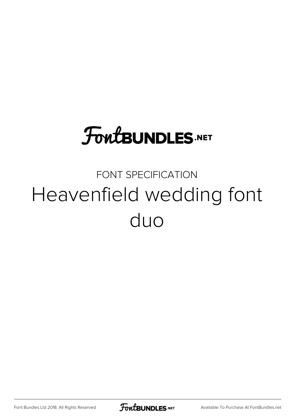## **FoutBUNDLES.NET**

## FONT SPECIFICATION Heavenfield wedding font duo

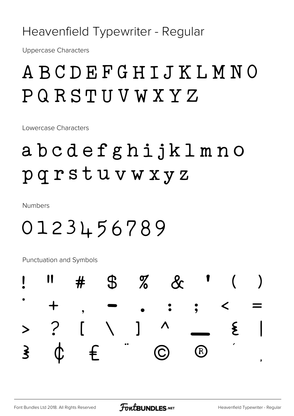### Heavenfield Typewriter - Regular

**Uppercase Characters** 

## ABCDEFGHIJKLMNO PQRSTUVWXYZ

Lowercase Characters

## abcdefghijklmno pqrstuvwxyz

**Numbers** 

## 0123456789

Punctuation and Symbols

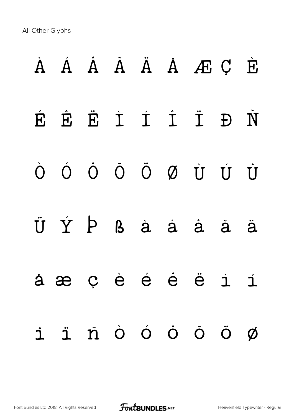All Other Glyphs

# À Á Â Ã Ä Å Æ Ç È É Ê Ë Ì Í Î Ï Ð Ñ Ò Ó Ô Õ Ö Ø Ù Ú Û Ü Ý Þ ß à á â ã ä å æ ç è é ê ë ì í î ï ñ ò ó ô õ ö ø

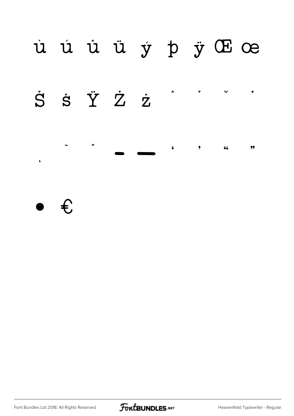### ù ú û ü ý p ÿ Œ œ Š Š Ÿ Ž Ž  $\ddot{\phantom{0}}$  $\bullet$  $\blacktriangle$  $\boldsymbol{u}$  $-66$  $\bullet$ ,,  $\blacklozenge$  $\mathbf{L}$



 $\cdot$   $\epsilon$ 

Font Bundles Ltd 2018. All Rights Reserved

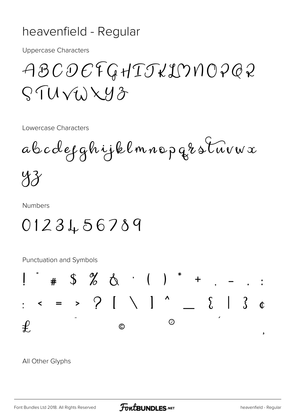#### heavenfield - Regular

**Uppercase Characters** 

## ABCDEFGHIJKIMOPQR **STUVWXY3**

Lowercase Characters

abcdefghijklmnopgrstuvwx

**Numbers** 

### $0123156789$

Punctuation and Symbols



All Other Glyphs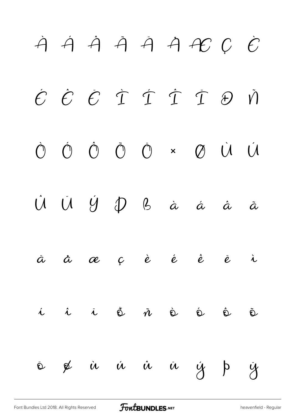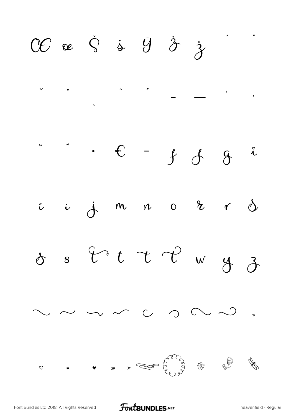

FontBUNDLES.NET